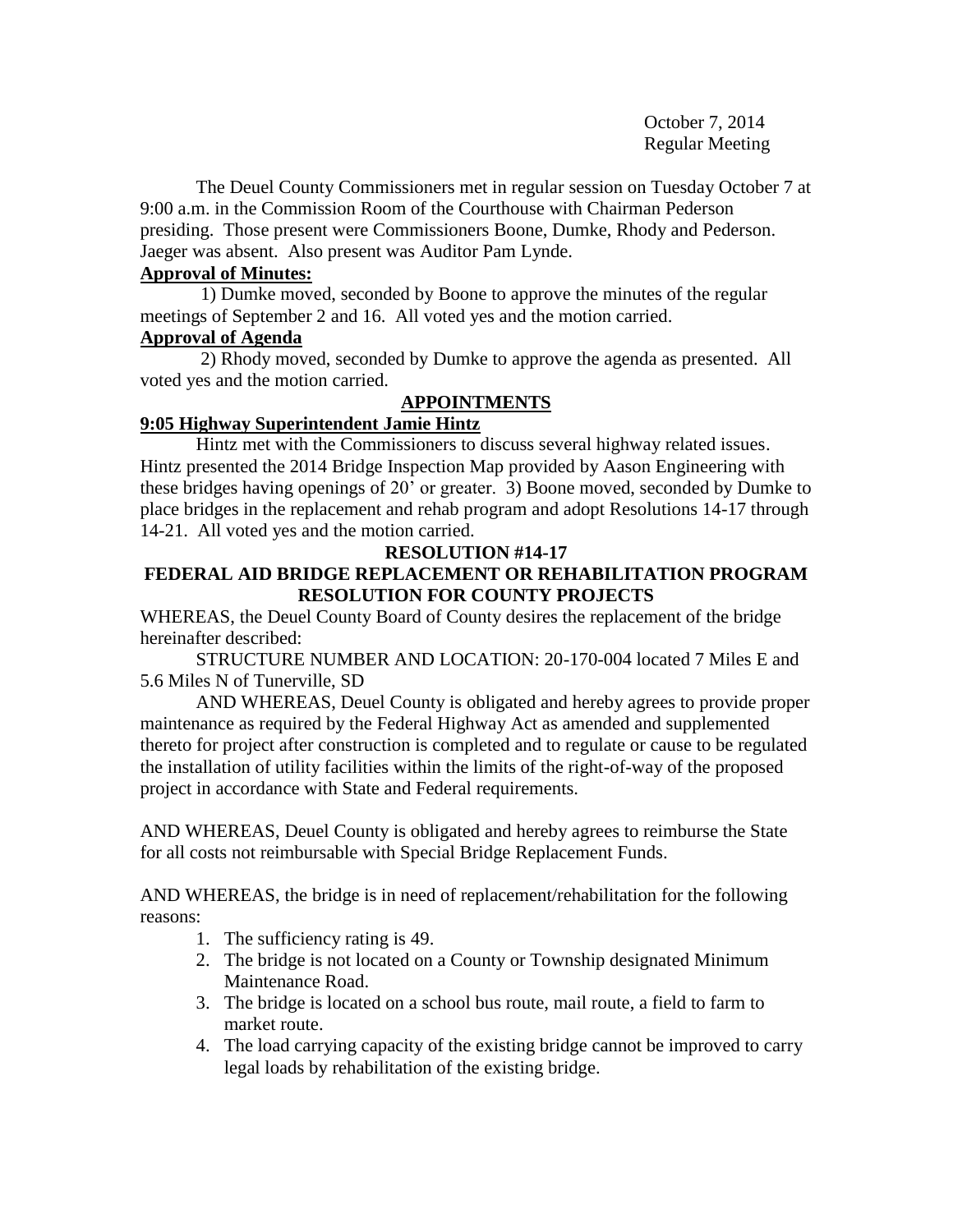October 7, 2014 Regular Meeting

The Deuel County Commissioners met in regular session on Tuesday October 7 at 9:00 a.m. in the Commission Room of the Courthouse with Chairman Pederson presiding. Those present were Commissioners Boone, Dumke, Rhody and Pederson. Jaeger was absent. Also present was Auditor Pam Lynde.

## **Approval of Minutes:**

 1) Dumke moved, seconded by Boone to approve the minutes of the regular meetings of September 2 and 16. All voted yes and the motion carried.

### **Approval of Agenda**

2) Rhody moved, seconded by Dumke to approve the agenda as presented. All voted yes and the motion carried.

# **APPOINTMENTS**

## **9:05 Highway Superintendent Jamie Hintz**

Hintz met with the Commissioners to discuss several highway related issues. Hintz presented the 2014 Bridge Inspection Map provided by Aason Engineering with these bridges having openings of 20' or greater. 3) Boone moved, seconded by Dumke to place bridges in the replacement and rehab program and adopt Resolutions 14-17 through 14-21. All voted yes and the motion carried.

## **RESOLUTION #14-17**

## **FEDERAL AID BRIDGE REPLACEMENT OR REHABILITATION PROGRAM RESOLUTION FOR COUNTY PROJECTS**

WHEREAS, the Deuel County Board of County desires the replacement of the bridge hereinafter described:

STRUCTURE NUMBER AND LOCATION: 20-170-004 located 7 Miles E and 5.6 Miles N of Tunerville, SD

AND WHEREAS, Deuel County is obligated and hereby agrees to provide proper maintenance as required by the Federal Highway Act as amended and supplemented thereto for project after construction is completed and to regulate or cause to be regulated the installation of utility facilities within the limits of the right-of-way of the proposed project in accordance with State and Federal requirements.

AND WHEREAS, Deuel County is obligated and hereby agrees to reimburse the State for all costs not reimbursable with Special Bridge Replacement Funds.

AND WHEREAS, the bridge is in need of replacement/rehabilitation for the following reasons:

- 1. The sufficiency rating is 49.
- 2. The bridge is not located on a County or Township designated Minimum Maintenance Road.
- 3. The bridge is located on a school bus route, mail route, a field to farm to market route.
- 4. The load carrying capacity of the existing bridge cannot be improved to carry legal loads by rehabilitation of the existing bridge.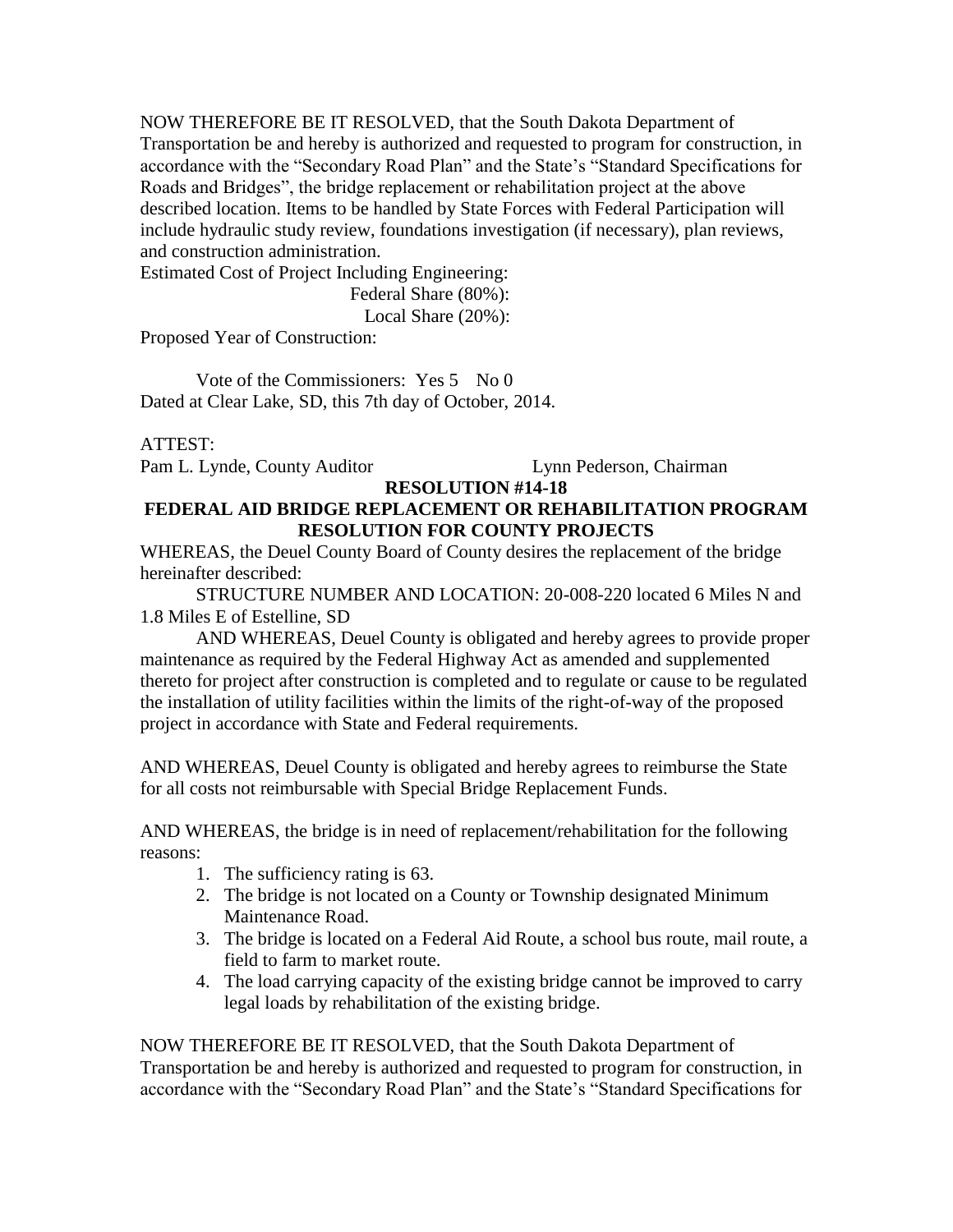NOW THEREFORE BE IT RESOLVED, that the South Dakota Department of Transportation be and hereby is authorized and requested to program for construction, in accordance with the "Secondary Road Plan" and the State's "Standard Specifications for Roads and Bridges", the bridge replacement or rehabilitation project at the above described location. Items to be handled by State Forces with Federal Participation will include hydraulic study review, foundations investigation (if necessary), plan reviews, and construction administration.

Estimated Cost of Project Including Engineering:

Federal Share (80%):

Local Share (20%):

Proposed Year of Construction:

Vote of the Commissioners: Yes 5 No 0 Dated at Clear Lake, SD, this 7th day of October, 2014.

ATTEST:

Pam L. Lynde, County Auditor Lynn Pederson, Chairman

#### **RESOLUTION #14-18 FEDERAL AID BRIDGE REPLACEMENT OR REHABILITATION PROGRAM RESOLUTION FOR COUNTY PROJECTS**

WHEREAS, the Deuel County Board of County desires the replacement of the bridge hereinafter described:

STRUCTURE NUMBER AND LOCATION: 20-008-220 located 6 Miles N and 1.8 Miles E of Estelline, SD

AND WHEREAS, Deuel County is obligated and hereby agrees to provide proper maintenance as required by the Federal Highway Act as amended and supplemented thereto for project after construction is completed and to regulate or cause to be regulated the installation of utility facilities within the limits of the right-of-way of the proposed project in accordance with State and Federal requirements.

AND WHEREAS, Deuel County is obligated and hereby agrees to reimburse the State for all costs not reimbursable with Special Bridge Replacement Funds.

AND WHEREAS, the bridge is in need of replacement/rehabilitation for the following reasons:

- 1. The sufficiency rating is 63.
- 2. The bridge is not located on a County or Township designated Minimum Maintenance Road.
- 3. The bridge is located on a Federal Aid Route, a school bus route, mail route, a field to farm to market route.
- 4. The load carrying capacity of the existing bridge cannot be improved to carry legal loads by rehabilitation of the existing bridge.

NOW THEREFORE BE IT RESOLVED, that the South Dakota Department of Transportation be and hereby is authorized and requested to program for construction, in accordance with the "Secondary Road Plan" and the State's "Standard Specifications for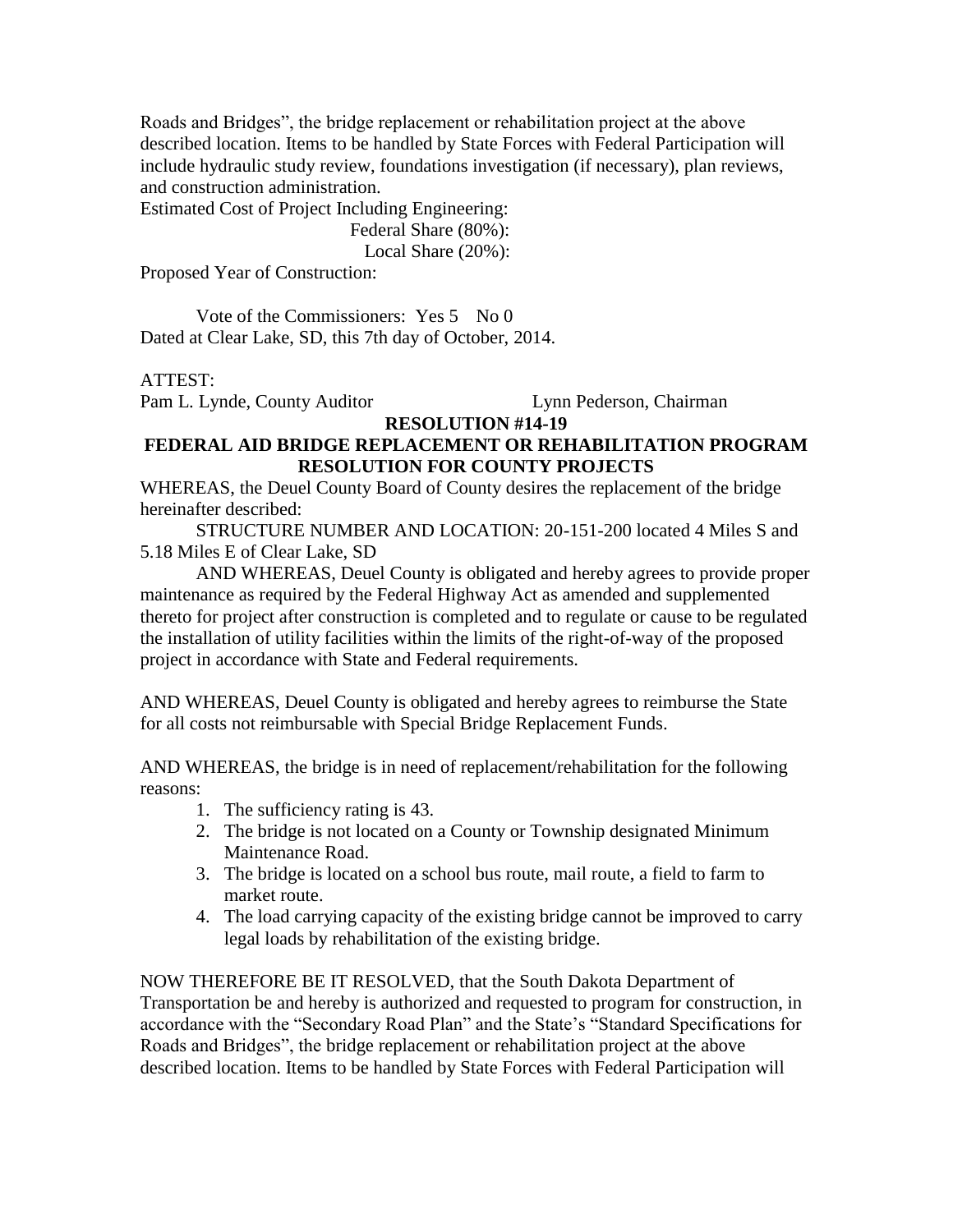Roads and Bridges", the bridge replacement or rehabilitation project at the above described location. Items to be handled by State Forces with Federal Participation will include hydraulic study review, foundations investigation (if necessary), plan reviews, and construction administration.

Estimated Cost of Project Including Engineering:

Federal Share (80%):

Local Share (20%):

Proposed Year of Construction:

Vote of the Commissioners: Yes 5 No 0 Dated at Clear Lake, SD, this 7th day of October, 2014.

ATTEST:

Pam L. Lynde, County Auditor Lynn Pederson, Chairman

#### **RESOLUTION #14-19**

## **FEDERAL AID BRIDGE REPLACEMENT OR REHABILITATION PROGRAM RESOLUTION FOR COUNTY PROJECTS**

WHEREAS, the Deuel County Board of County desires the replacement of the bridge hereinafter described:

STRUCTURE NUMBER AND LOCATION: 20-151-200 located 4 Miles S and 5.18 Miles E of Clear Lake, SD

AND WHEREAS, Deuel County is obligated and hereby agrees to provide proper maintenance as required by the Federal Highway Act as amended and supplemented thereto for project after construction is completed and to regulate or cause to be regulated the installation of utility facilities within the limits of the right-of-way of the proposed project in accordance with State and Federal requirements.

AND WHEREAS, Deuel County is obligated and hereby agrees to reimburse the State for all costs not reimbursable with Special Bridge Replacement Funds.

AND WHEREAS, the bridge is in need of replacement/rehabilitation for the following reasons:

- 1. The sufficiency rating is 43.
- 2. The bridge is not located on a County or Township designated Minimum Maintenance Road.
- 3. The bridge is located on a school bus route, mail route, a field to farm to market route.
- 4. The load carrying capacity of the existing bridge cannot be improved to carry legal loads by rehabilitation of the existing bridge.

NOW THEREFORE BE IT RESOLVED, that the South Dakota Department of Transportation be and hereby is authorized and requested to program for construction, in accordance with the "Secondary Road Plan" and the State's "Standard Specifications for Roads and Bridges", the bridge replacement or rehabilitation project at the above described location. Items to be handled by State Forces with Federal Participation will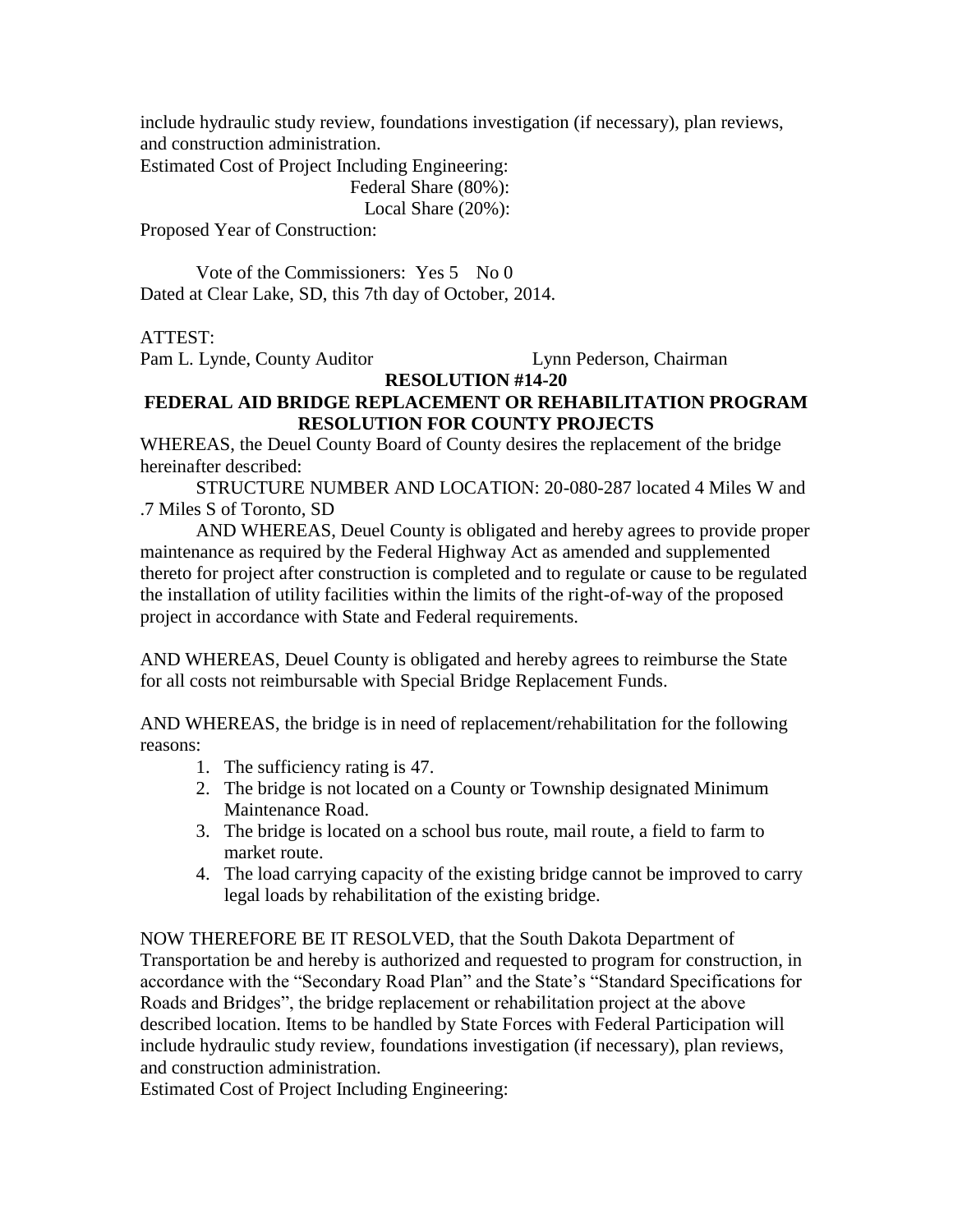include hydraulic study review, foundations investigation (if necessary), plan reviews, and construction administration.

Estimated Cost of Project Including Engineering:

Federal Share (80%):

Local Share (20%):

Proposed Year of Construction:

Vote of the Commissioners: Yes 5 No 0 Dated at Clear Lake, SD, this 7th day of October, 2014.

## ATTEST:

Pam L. Lynde, County Auditor Lynn Pederson, Chairman

### **RESOLUTION #14-20 FEDERAL AID BRIDGE REPLACEMENT OR REHABILITATION PROGRAM RESOLUTION FOR COUNTY PROJECTS**

WHEREAS, the Deuel County Board of County desires the replacement of the bridge hereinafter described:

STRUCTURE NUMBER AND LOCATION: 20-080-287 located 4 Miles W and .7 Miles S of Toronto, SD

AND WHEREAS, Deuel County is obligated and hereby agrees to provide proper maintenance as required by the Federal Highway Act as amended and supplemented thereto for project after construction is completed and to regulate or cause to be regulated the installation of utility facilities within the limits of the right-of-way of the proposed project in accordance with State and Federal requirements.

AND WHEREAS, Deuel County is obligated and hereby agrees to reimburse the State for all costs not reimbursable with Special Bridge Replacement Funds.

AND WHEREAS, the bridge is in need of replacement/rehabilitation for the following reasons:

- 1. The sufficiency rating is 47.
- 2. The bridge is not located on a County or Township designated Minimum Maintenance Road.
- 3. The bridge is located on a school bus route, mail route, a field to farm to market route.
- 4. The load carrying capacity of the existing bridge cannot be improved to carry legal loads by rehabilitation of the existing bridge.

NOW THEREFORE BE IT RESOLVED, that the South Dakota Department of Transportation be and hereby is authorized and requested to program for construction, in accordance with the "Secondary Road Plan" and the State's "Standard Specifications for Roads and Bridges", the bridge replacement or rehabilitation project at the above described location. Items to be handled by State Forces with Federal Participation will include hydraulic study review, foundations investigation (if necessary), plan reviews, and construction administration.

Estimated Cost of Project Including Engineering: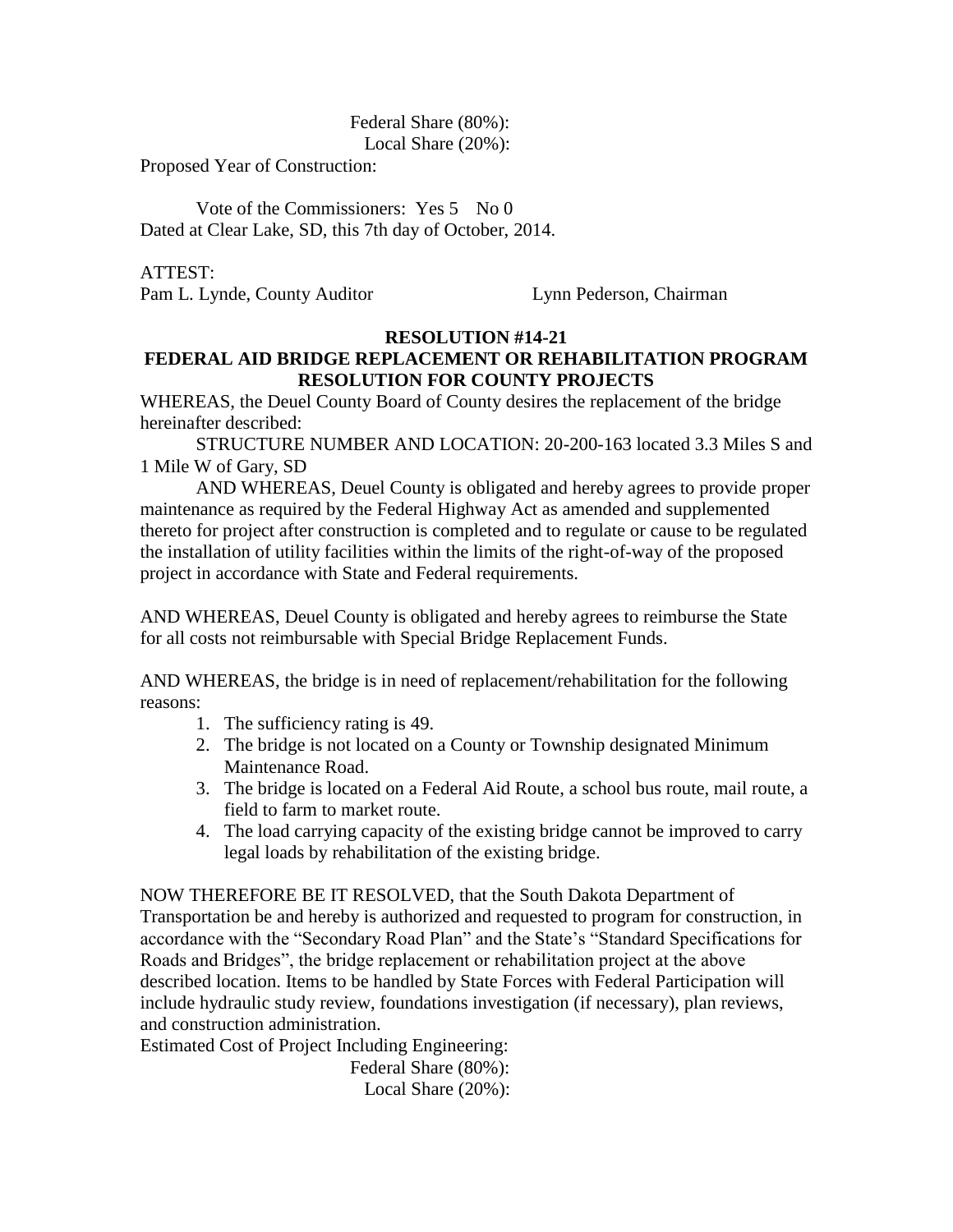Federal Share (80%): Local Share (20%):

Proposed Year of Construction:

Vote of the Commissioners: Yes 5 No 0 Dated at Clear Lake, SD, this 7th day of October, 2014.

ATTEST: Pam L. Lynde, County Auditor Lynn Pederson, Chairman

### **RESOLUTION #14-21 FEDERAL AID BRIDGE REPLACEMENT OR REHABILITATION PROGRAM RESOLUTION FOR COUNTY PROJECTS**

WHEREAS, the Deuel County Board of County desires the replacement of the bridge hereinafter described:

STRUCTURE NUMBER AND LOCATION: 20-200-163 located 3.3 Miles S and 1 Mile W of Gary, SD

AND WHEREAS, Deuel County is obligated and hereby agrees to provide proper maintenance as required by the Federal Highway Act as amended and supplemented thereto for project after construction is completed and to regulate or cause to be regulated the installation of utility facilities within the limits of the right-of-way of the proposed project in accordance with State and Federal requirements.

AND WHEREAS, Deuel County is obligated and hereby agrees to reimburse the State for all costs not reimbursable with Special Bridge Replacement Funds.

AND WHEREAS, the bridge is in need of replacement/rehabilitation for the following reasons:

- 1. The sufficiency rating is 49.
- 2. The bridge is not located on a County or Township designated Minimum Maintenance Road.
- 3. The bridge is located on a Federal Aid Route, a school bus route, mail route, a field to farm to market route.
- 4. The load carrying capacity of the existing bridge cannot be improved to carry legal loads by rehabilitation of the existing bridge.

NOW THEREFORE BE IT RESOLVED, that the South Dakota Department of Transportation be and hereby is authorized and requested to program for construction, in accordance with the "Secondary Road Plan" and the State's "Standard Specifications for Roads and Bridges", the bridge replacement or rehabilitation project at the above described location. Items to be handled by State Forces with Federal Participation will include hydraulic study review, foundations investigation (if necessary), plan reviews, and construction administration.

Estimated Cost of Project Including Engineering:

 Federal Share (80%): Local Share (20%):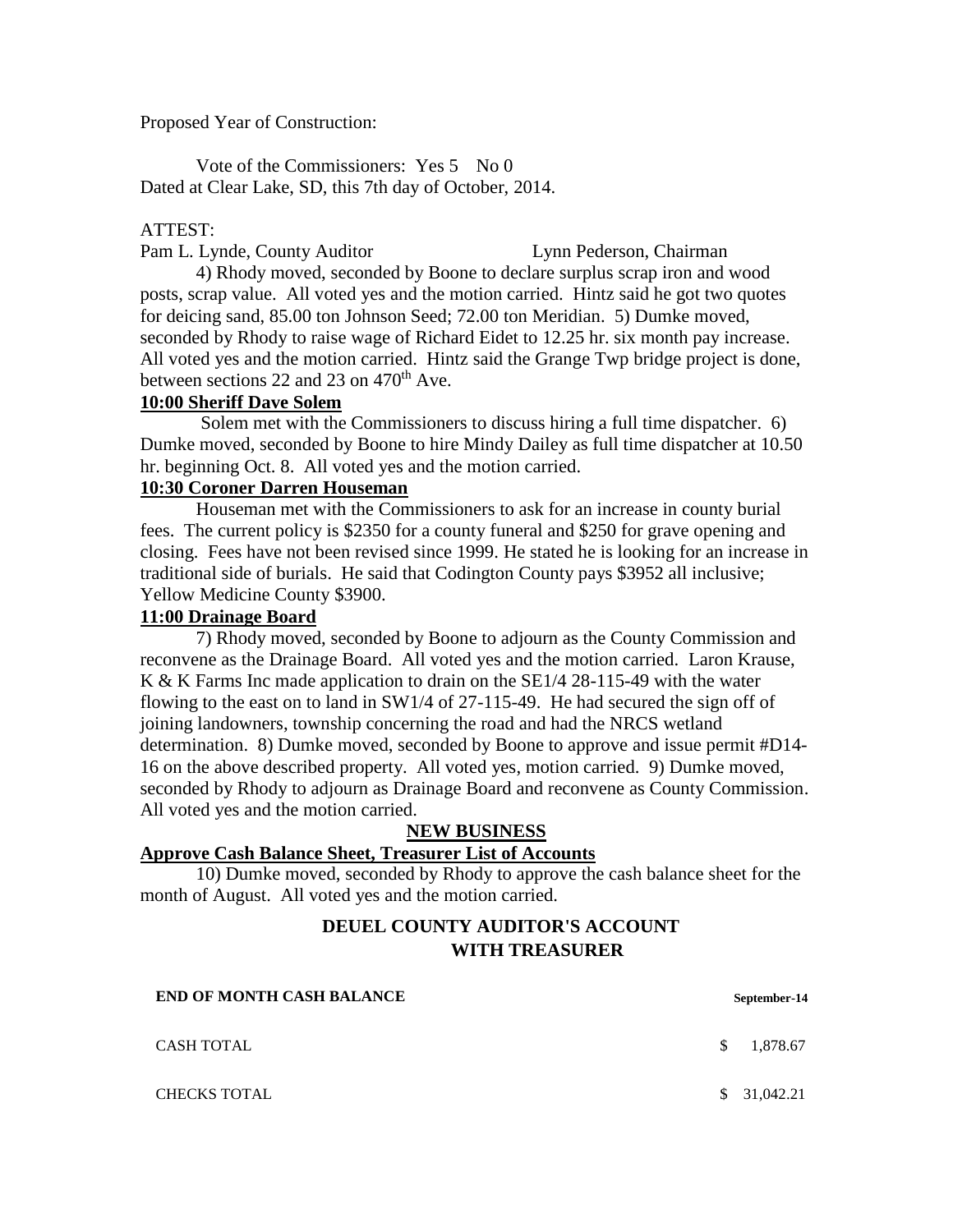Proposed Year of Construction:

Vote of the Commissioners: Yes 5 No 0 Dated at Clear Lake, SD, this 7th day of October, 2014.

#### ATTEST:

Pam L. Lynde, County Auditor Lynn Pederson, Chairman 4) Rhody moved, seconded by Boone to declare surplus scrap iron and wood posts, scrap value. All voted yes and the motion carried. Hintz said he got two quotes for deicing sand, 85.00 ton Johnson Seed; 72.00 ton Meridian. 5) Dumke moved, seconded by Rhody to raise wage of Richard Eidet to 12.25 hr. six month pay increase. All voted yes and the motion carried. Hintz said the Grange Twp bridge project is done, between sections 22 and 23 on  $470<sup>th</sup>$  Ave.

#### **10:00 Sheriff Dave Solem**

Solem met with the Commissioners to discuss hiring a full time dispatcher. 6) Dumke moved, seconded by Boone to hire Mindy Dailey as full time dispatcher at 10.50 hr. beginning Oct. 8. All voted yes and the motion carried.

### **10:30 Coroner Darren Houseman**

Houseman met with the Commissioners to ask for an increase in county burial fees. The current policy is \$2350 for a county funeral and \$250 for grave opening and closing. Fees have not been revised since 1999. He stated he is looking for an increase in traditional side of burials. He said that Codington County pays \$3952 all inclusive; Yellow Medicine County \$3900.

### **11:00 Drainage Board**

7) Rhody moved, seconded by Boone to adjourn as the County Commission and reconvene as the Drainage Board. All voted yes and the motion carried. Laron Krause, K & K Farms Inc made application to drain on the SE1/4 28-115-49 with the water flowing to the east on to land in SW1/4 of 27-115-49. He had secured the sign off of joining landowners, township concerning the road and had the NRCS wetland determination. 8) Dumke moved, seconded by Boone to approve and issue permit #D14- 16 on the above described property. All voted yes, motion carried. 9) Dumke moved, seconded by Rhody to adjourn as Drainage Board and reconvene as County Commission. All voted yes and the motion carried.

#### **NEW BUSINESS**

#### **Approve Cash Balance Sheet, Treasurer List of Accounts**

10) Dumke moved, seconded by Rhody to approve the cash balance sheet for the month of August. All voted yes and the motion carried.

# **DEUEL COUNTY AUDITOR'S ACCOUNT WITH TREASURER**

| <b>END OF MONTH CASH BALANCE</b> | September-14 |             |  |
|----------------------------------|--------------|-------------|--|
| CASH TOTAL                       | S.           | 1,878.67    |  |
| <b>CHECKS TOTAL</b>              |              | \$31,042.21 |  |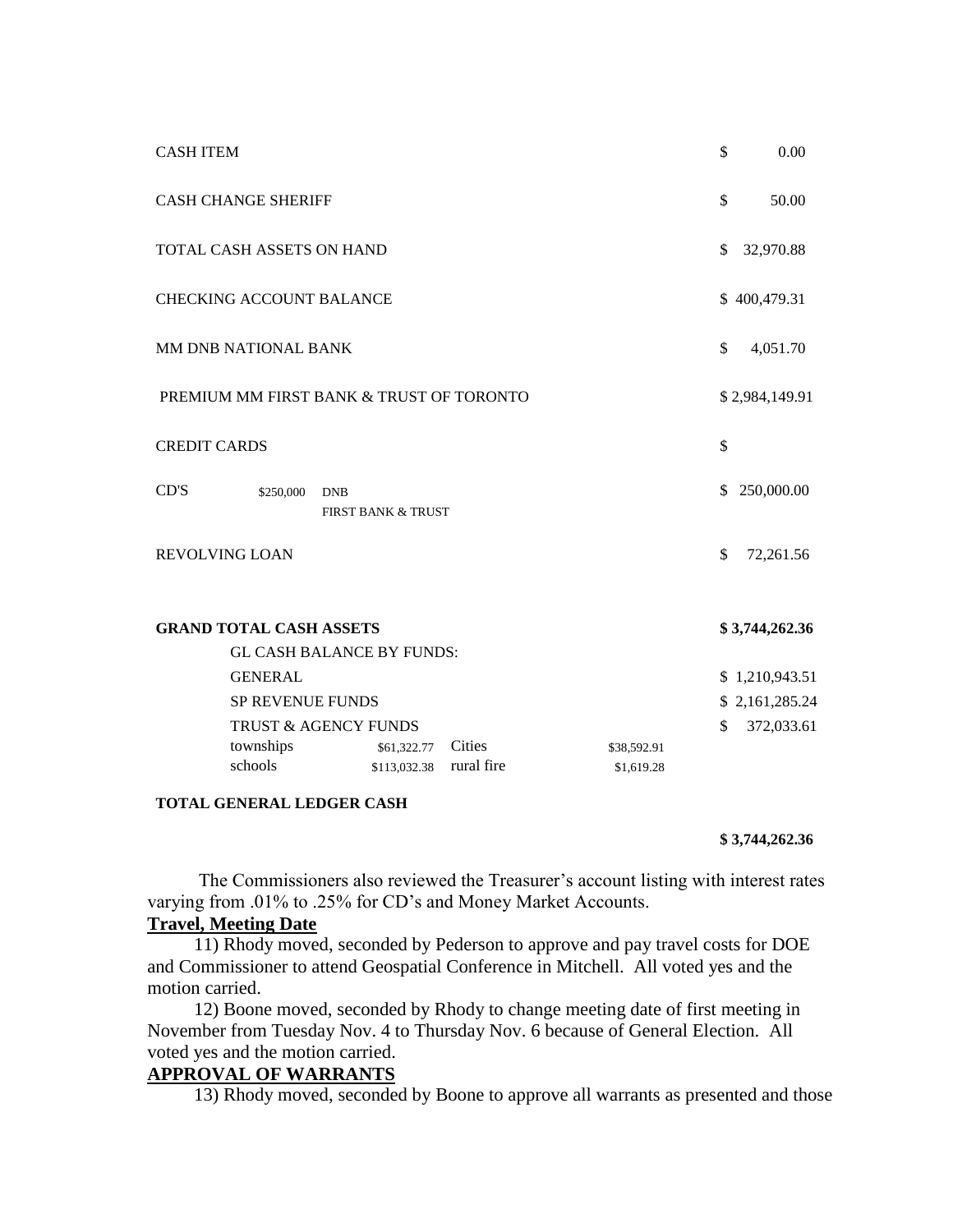| <b>CASH ITEM</b>                         |                                  |                               |            |             | \$           | 0.00           |
|------------------------------------------|----------------------------------|-------------------------------|------------|-------------|--------------|----------------|
| <b>CASH CHANGE SHERIFF</b>               |                                  |                               |            |             | \$           | 50.00          |
| TOTAL CASH ASSETS ON HAND                |                                  |                               |            |             | \$           | 32,970.88      |
| <b>CHECKING ACCOUNT BALANCE</b>          |                                  |                               |            |             |              | \$400,479.31   |
| MM DNB NATIONAL BANK                     |                                  |                               |            |             | $\mathbb{S}$ | 4,051.70       |
| PREMIUM MM FIRST BANK & TRUST OF TORONTO |                                  |                               |            |             |              | \$2,984,149.91 |
| <b>CREDIT CARDS</b>                      |                                  |                               |            |             | \$           |                |
| CD'S                                     | \$250,000<br><b>DNB</b>          | <b>FIRST BANK &amp; TRUST</b> |            |             | \$           | 250,000.00     |
| <b>REVOLVING LOAN</b>                    |                                  |                               |            |             | $\mathbb{S}$ | 72,261.56      |
| <b>GRAND TOTAL CASH ASSETS</b>           | <b>GL CASH BALANCE BY FUNDS:</b> |                               |            |             |              | \$3,744,262.36 |
|                                          | <b>GENERAL</b>                   |                               |            |             |              | \$1,210,943.51 |
|                                          | <b>SP REVENUE FUNDS</b>          |                               |            |             |              | \$2,161,285.24 |
| TRUST & AGENCY FUNDS                     |                                  |                               |            |             | \$           | 372,033.61     |
|                                          | townships                        | \$61,322.77                   | Cities     | \$38,592.91 |              |                |
| schools                                  |                                  | \$113,032.38                  | rural fire | \$1,619.28  |              |                |

#### **TOTAL GENERAL LEDGER CASH**

#### **\$ 3,744,262.36**

 The Commissioners also reviewed the Treasurer's account listing with interest rates varying from .01% to .25% for CD's and Money Market Accounts.

#### **Travel, Meeting Date**

 11) Rhody moved, seconded by Pederson to approve and pay travel costs for DOE and Commissioner to attend Geospatial Conference in Mitchell. All voted yes and the motion carried.

 12) Boone moved, seconded by Rhody to change meeting date of first meeting in November from Tuesday Nov. 4 to Thursday Nov. 6 because of General Election. All voted yes and the motion carried.

#### **APPROVAL OF WARRANTS**

13) Rhody moved, seconded by Boone to approve all warrants as presented and those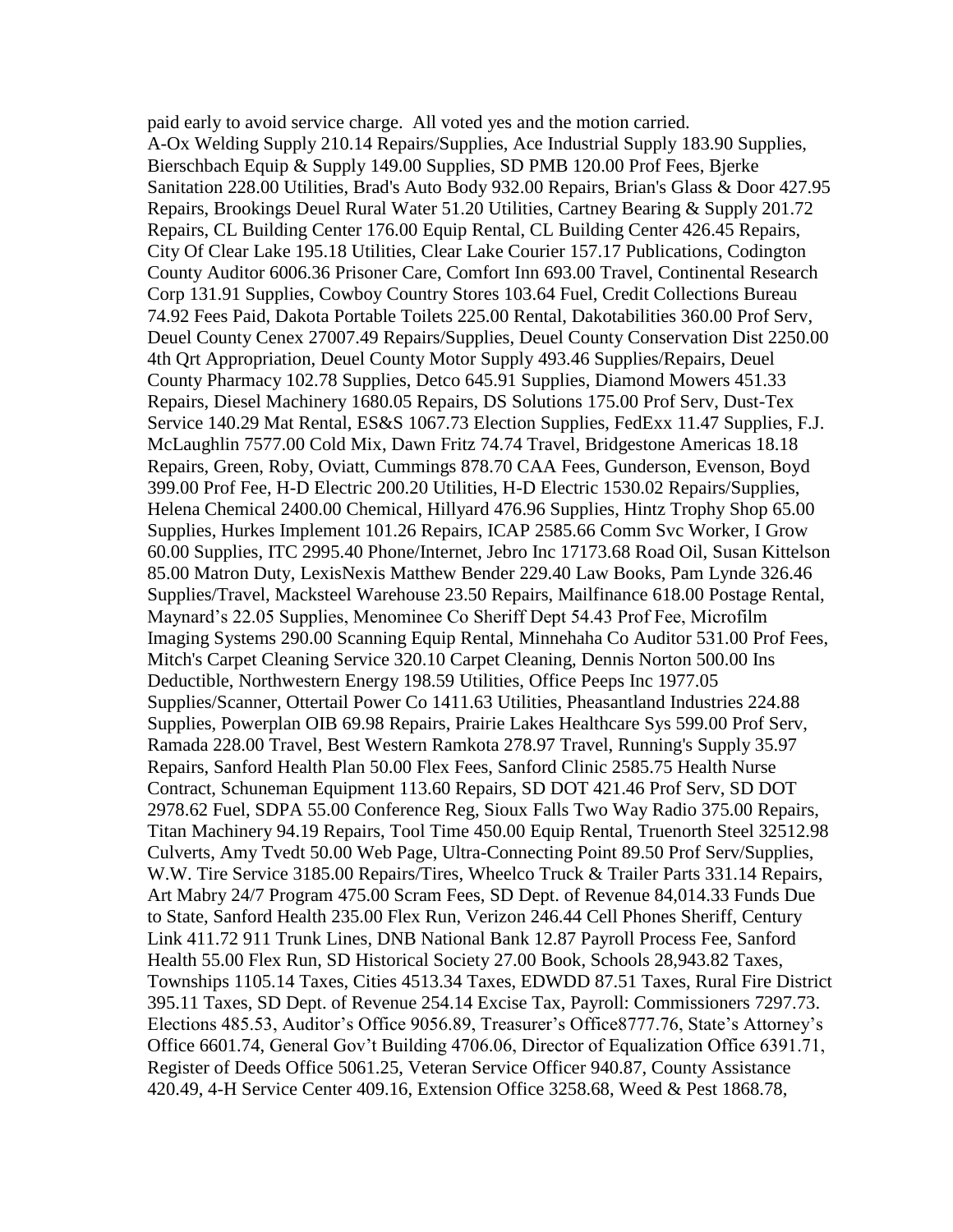paid early to avoid service charge. All voted yes and the motion carried. A-Ox Welding Supply 210.14 Repairs/Supplies, Ace Industrial Supply 183.90 Supplies, Bierschbach Equip & Supply 149.00 Supplies, SD PMB 120.00 Prof Fees, Bjerke Sanitation 228.00 Utilities, Brad's Auto Body 932.00 Repairs, Brian's Glass & Door 427.95 Repairs, Brookings Deuel Rural Water 51.20 Utilities, Cartney Bearing & Supply 201.72 Repairs, CL Building Center 176.00 Equip Rental, CL Building Center 426.45 Repairs, City Of Clear Lake 195.18 Utilities, Clear Lake Courier 157.17 Publications, Codington County Auditor 6006.36 Prisoner Care, Comfort Inn 693.00 Travel, Continental Research Corp 131.91 Supplies, Cowboy Country Stores 103.64 Fuel, Credit Collections Bureau 74.92 Fees Paid, Dakota Portable Toilets 225.00 Rental, Dakotabilities 360.00 Prof Serv, Deuel County Cenex 27007.49 Repairs/Supplies, Deuel County Conservation Dist 2250.00 4th Qrt Appropriation, Deuel County Motor Supply 493.46 Supplies/Repairs, Deuel County Pharmacy 102.78 Supplies, Detco 645.91 Supplies, Diamond Mowers 451.33 Repairs, Diesel Machinery 1680.05 Repairs, DS Solutions 175.00 Prof Serv, Dust-Tex Service 140.29 Mat Rental, ES&S 1067.73 Election Supplies, FedExx 11.47 Supplies, F.J. McLaughlin 7577.00 Cold Mix, Dawn Fritz 74.74 Travel, Bridgestone Americas 18.18 Repairs, Green, Roby, Oviatt, Cummings 878.70 CAA Fees, Gunderson, Evenson, Boyd 399.00 Prof Fee, H-D Electric 200.20 Utilities, H-D Electric 1530.02 Repairs/Supplies, Helena Chemical 2400.00 Chemical, Hillyard 476.96 Supplies, Hintz Trophy Shop 65.00 Supplies, Hurkes Implement 101.26 Repairs, ICAP 2585.66 Comm Svc Worker, I Grow 60.00 Supplies, ITC 2995.40 Phone/Internet, Jebro Inc 17173.68 Road Oil, Susan Kittelson 85.00 Matron Duty, LexisNexis Matthew Bender 229.40 Law Books, Pam Lynde 326.46 Supplies/Travel, Macksteel Warehouse 23.50 Repairs, Mailfinance 618.00 Postage Rental, Maynard's 22.05 Supplies, Menominee Co Sheriff Dept 54.43 Prof Fee, Microfilm Imaging Systems 290.00 Scanning Equip Rental, Minnehaha Co Auditor 531.00 Prof Fees, Mitch's Carpet Cleaning Service 320.10 Carpet Cleaning, Dennis Norton 500.00 Ins Deductible, Northwestern Energy 198.59 Utilities, Office Peeps Inc 1977.05 Supplies/Scanner, Ottertail Power Co 1411.63 Utilities, Pheasantland Industries 224.88 Supplies, Powerplan OIB 69.98 Repairs, Prairie Lakes Healthcare Sys 599.00 Prof Serv, Ramada 228.00 Travel, Best Western Ramkota 278.97 Travel, Running's Supply 35.97 Repairs, Sanford Health Plan 50.00 Flex Fees, Sanford Clinic 2585.75 Health Nurse Contract, Schuneman Equipment 113.60 Repairs, SD DOT 421.46 Prof Serv, SD DOT 2978.62 Fuel, SDPA 55.00 Conference Reg, Sioux Falls Two Way Radio 375.00 Repairs, Titan Machinery 94.19 Repairs, Tool Time 450.00 Equip Rental, Truenorth Steel 32512.98 Culverts, Amy Tvedt 50.00 Web Page, Ultra-Connecting Point 89.50 Prof Serv/Supplies, W.W. Tire Service 3185.00 Repairs/Tires, Wheelco Truck & Trailer Parts 331.14 Repairs, Art Mabry 24/7 Program 475.00 Scram Fees, SD Dept. of Revenue 84,014.33 Funds Due to State, Sanford Health 235.00 Flex Run, Verizon 246.44 Cell Phones Sheriff, Century Link 411.72 911 Trunk Lines, DNB National Bank 12.87 Payroll Process Fee, Sanford Health 55.00 Flex Run, SD Historical Society 27.00 Book, Schools 28,943.82 Taxes, Townships 1105.14 Taxes, Cities 4513.34 Taxes, EDWDD 87.51 Taxes, Rural Fire District 395.11 Taxes, SD Dept. of Revenue 254.14 Excise Tax, Payroll: Commissioners 7297.73. Elections 485.53, Auditor's Office 9056.89, Treasurer's Office8777.76, State's Attorney's Office 6601.74, General Gov't Building 4706.06, Director of Equalization Office 6391.71, Register of Deeds Office 5061.25, Veteran Service Officer 940.87, County Assistance 420.49, 4-H Service Center 409.16, Extension Office 3258.68, Weed & Pest 1868.78,